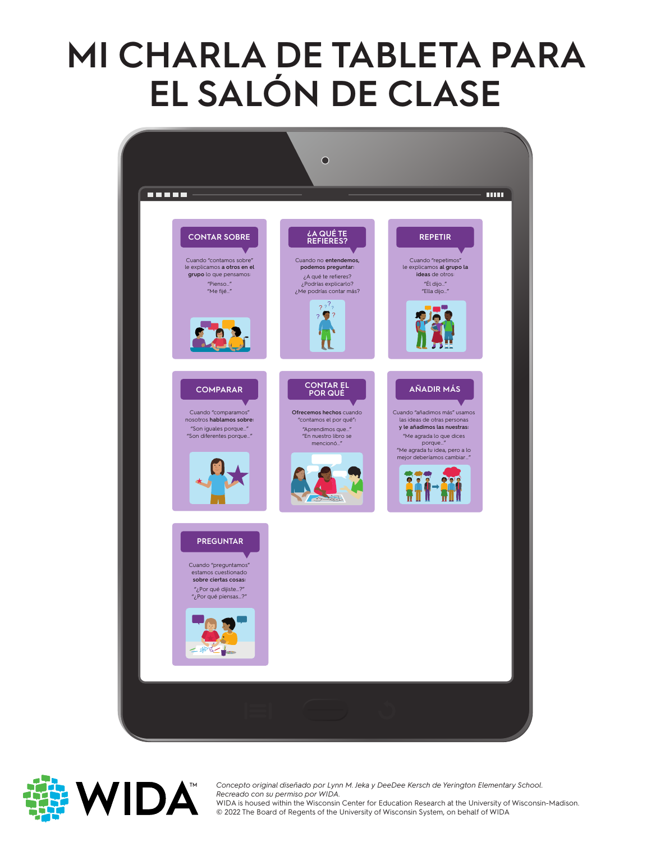#### **MI CHARLA DE TABLETA PARA EL SALÓN DE CLASE**





Concepto original diseñado por Lyni<br>*Recreado con su permiso por WIDA*. *Concepto original diseñado por Lynn M. Jeka y DeeDee Kersch de Yerington Elementary School.* 

WIDA is housed within the Wisconsin Center for Education Research at the University of<br>© 2022 The Board of Regents of the University of Wisconsin System, on behalf of WIDA WIDA is housed within the Wisconsin Center for Education Research at the University of Wisconsin-Madison.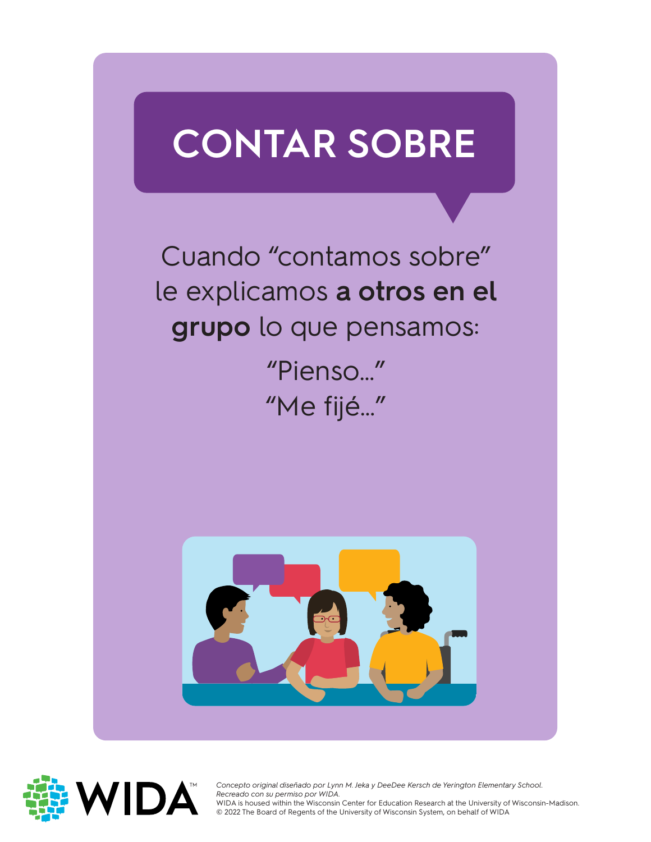# **CONTAR SOBRE**

Cuando "contamos sobre" le explicamos **a otros en el grupo** lo que pensamos:

> "Pienso…" "Me fijé…"





Concepto original diseñado por Lyni<br>*Recreado con su permiso por WIDA*. *Concepto original diseñado por Lynn M. Jeka y DeeDee Kersch de Yerington Elementary School.*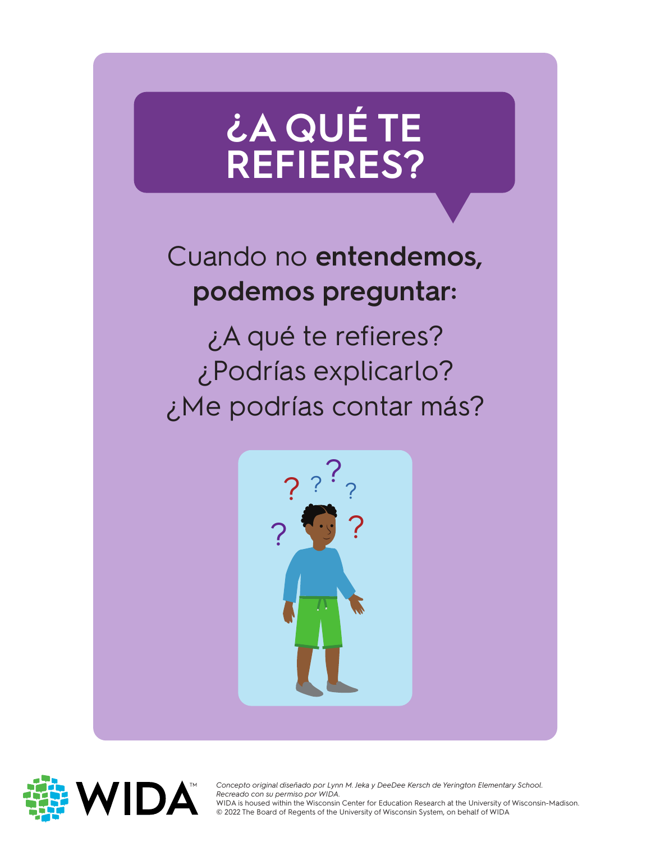## **¿A QUÉ TE REFIERES?**

#### Cuando no **entendemos, podemos preguntar:**

¿A qué te refieres? ¿Podrías explicarlo? ¿Me podrías contar más?





Concepto original diseñado por Lyni<br>*Recreado con su permiso por WIDA*. *Concepto original diseñado por Lynn M. Jeka y DeeDee Kersch de Yerington Elementary School.*  WIDA is housed within the Wisconsin Center for Education Research at the University of Wisconsin-Madison.

WIDA is housed within the Wisconsin Center for Education Research at the University of<br>© 2022 The Board of Regents of the University of Wisconsin System, on behalf of WIDA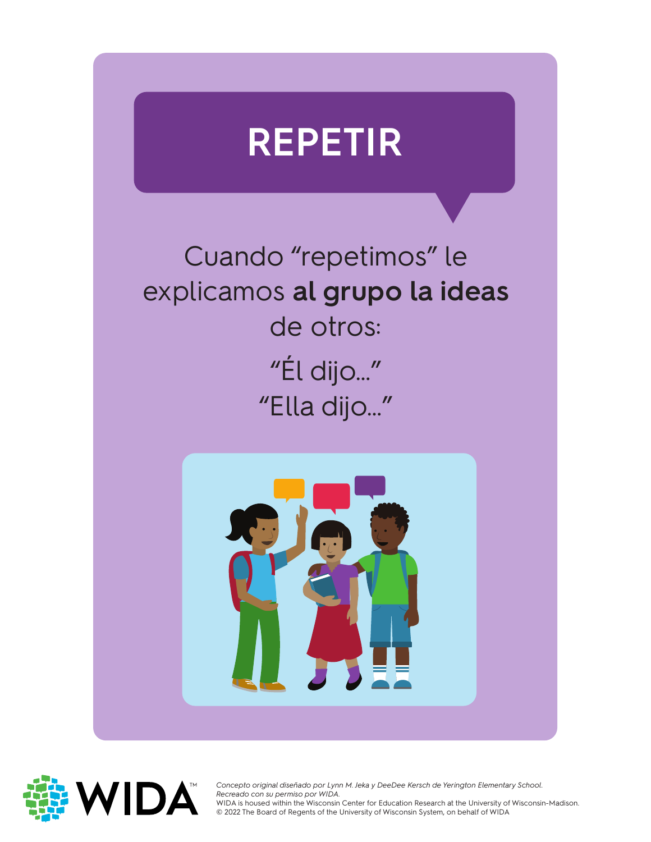#### **REPETIR**

Cuando "repetimos" le explicamos **al grupo la ideas**  de otros: "Él dijo…" "Ella dijo…"





Concepto original diseñado por Lynn M. Jeka y DeeDee Kersch de Yerington Elementary School.<br>Recreado con su permiso por WIDA. *Recreado con su permiso por WIDA.*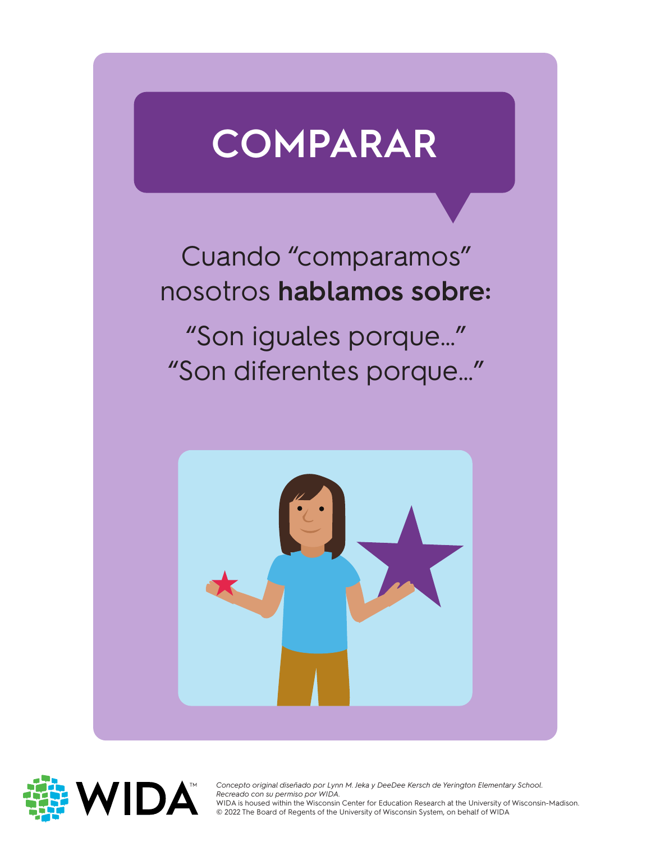### **COMPARAR**

#### Cuando "comparamos" nosotros **hablamos sobre:**

"Son iguales porque…" "Son diferentes porque…"





Concepto original diseñado por Lyni<br>*Recreado con su permiso por WIDA*. *Concepto original diseñado por Lynn M. Jeka y DeeDee Kersch de Yerington Elementary School.*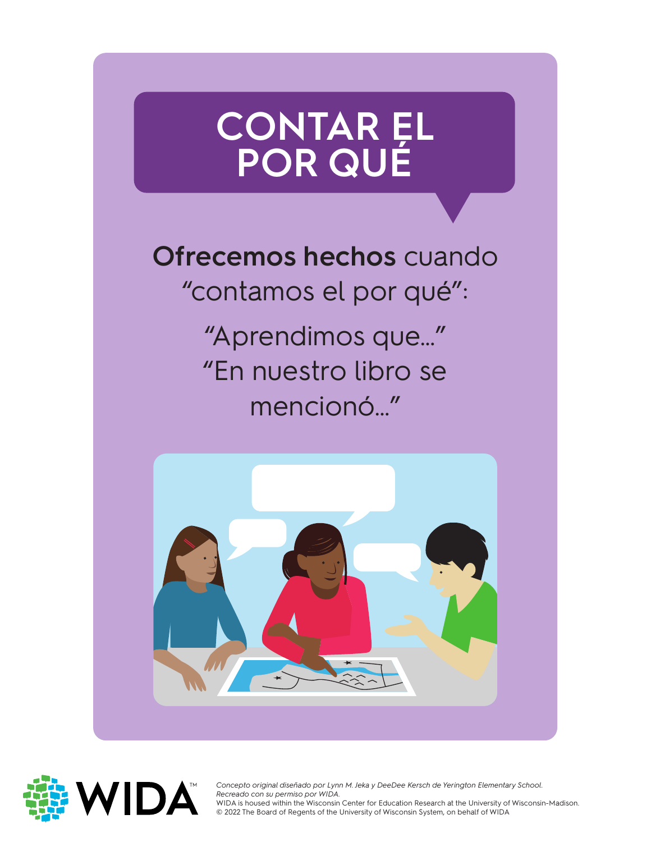#### **CONTAR EL POR QUÉ**

**Ofrecemos hechos** cuando "contamos el por qué": "Aprendimos que…"

"En nuestro libro se mencionó…"





Concepto original diseñado por Lyni<br>*Recreado con su permiso por WIDA*. *Concepto original diseñado por Lynn M. Jeka y DeeDee Kersch de Yerington Elementary School.* 

WIDA is housed within the Wisconsin Center for Education Research at the University of<br>© 2022 The Board of Regents of the University of Wisconsin System, on behalf of WIDA WIDA is housed within the Wisconsin Center for Education Research at the University of Wisconsin-Madison.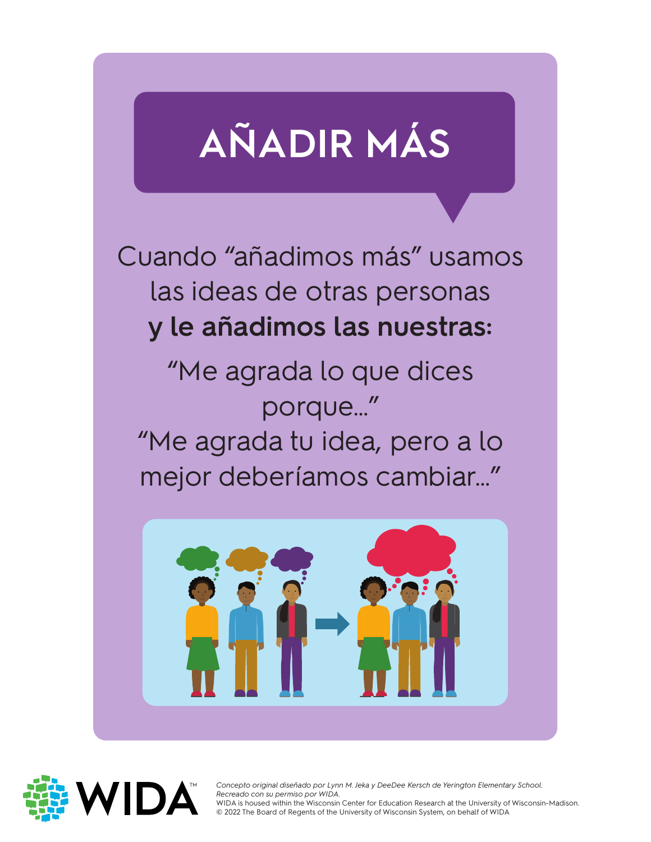# **AÑADIR MÁS**

Cuando "añadimos más" usamos las ideas de otras personas **y le añadimos las nuestras:**

"Me agrada lo que dices porque…" "Me agrada tu idea, pero a lo mejor deberíamos cambiar…"





Concepto original diseñado por Lyni<br>*Recreado con su permiso por WIDA*. *Concepto original diseñado por Lynn M. Jeka y DeeDee Kersch de Yerington Elementary School.* 

WIDA is housed within the Wisconsin Center for Education Research at the University of<br>© 2022 The Board of Regents of the University of Wisconsin System, on behalf of WIDA WIDA is housed within the Wisconsin Center for Education Research at the University of Wisconsin-Madison.